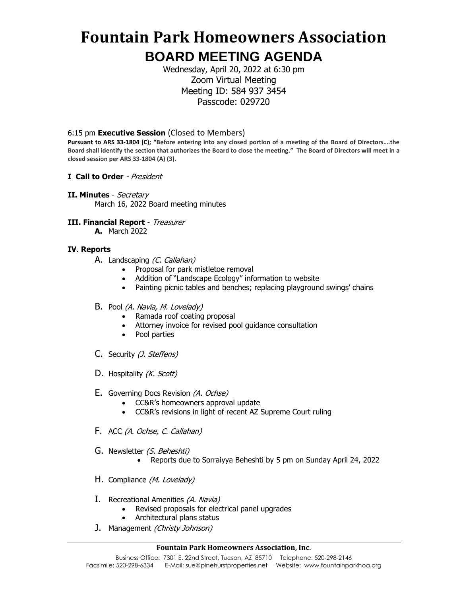## **Fountain Park Homeowners Association BOARD MEETING AGENDA**

Wednesday, April 20, 2022 at 6:30 pm Zoom Virtual Meeting Meeting ID: 584 937 3454 Passcode: 029720

6:15 pm **Executive Session** (Closed to Members)

**Pursuant to ARS 33-1804 (C); "Before entering into any closed portion of a meeting of the Board of Directors….the Board shall identify the section that authorizes the Board to close the meeting." The Board of Directors will meet in a closed session per ARS 33-1804 (A) (3).**

- **I Call to Order**  President
- **II. Minutes**  Secretary March 16, 2022 Board meeting minutes

#### **III. Financial Report** - Treasurer

**A.** March 2022

#### **IV**. **Reports**

- A. Landscaping (C. Callahan)
	- Proposal for park mistletoe removal
	- Addition of "Landscape Ecology" information to website
	- Painting picnic tables and benches; replacing playground swings' chains
- B. Pool (A. Navia, M. Lovelady)
	- Ramada roof coating proposal
	- Attorney invoice for revised pool guidance consultation
	- Pool parties
- C. Security (J. Steffens)
- D. Hospitality (K. Scott)
- E. Governing Docs Revision (A. Ochse)
	- CC&R's homeowners approval update
	- CC&R's revisions in light of recent AZ Supreme Court ruling
- F. ACC (A. Ochse, C. Callahan)
- G. Newsletter (S. Beheshti)
	- Reports due to Sorraiyya Beheshti by 5 pm on Sunday April 24, 2022
- H. Compliance (M. Lovelady)
- I. Recreational Amenities (A. Navia)
	- Revised proposals for electrical panel upgrades
	- Architectural plans status
- J. Management (Christy Johnson)